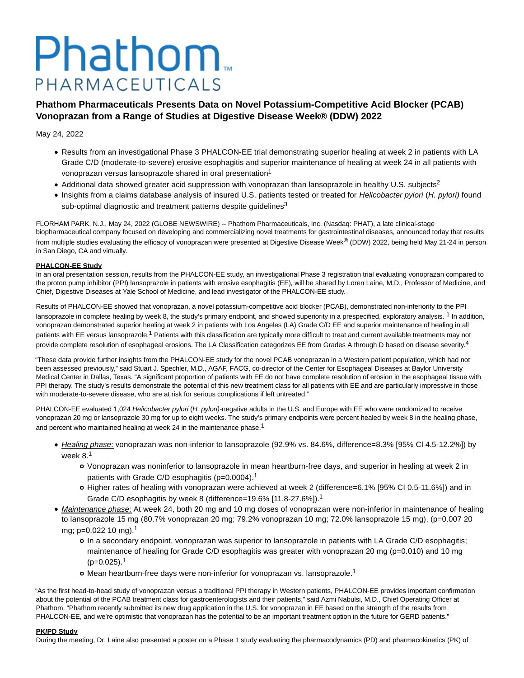# Phathom. PHARMACEUTICALS

## **Phathom Pharmaceuticals Presents Data on Novel Potassium-Competitive Acid Blocker (PCAB) Vonoprazan from a Range of Studies at Digestive Disease Week® (DDW) 2022**

May 24, 2022

- Results from an investigational Phase 3 PHALCON-EE trial demonstrating superior healing at week 2 in patients with LA Grade C/D (moderate-to-severe) erosive esophagitis and superior maintenance of healing at week 24 in all patients with vonoprazan versus lansoprazole shared in oral presentation<sup>1</sup>
- Additional data showed greater acid suppression with vonoprazan than lansoprazole in healthy U.S. subjects<sup>2</sup>
- Insights from a claims database analysis of insured U.S. patients tested or treated for Helicobacter pylori (H. pylori) found sub-optimal diagnostic and treatment patterns despite quidelines<sup>3</sup>

FLORHAM PARK, N.J., May 24, 2022 (GLOBE NEWSWIRE) -- Phathom Pharmaceuticals, Inc. (Nasdaq: PHAT), a late clinical-stage biopharmaceutical company focused on developing and commercializing novel treatments for gastrointestinal diseases, announced today that results from multiple studies evaluating the efficacy of vonoprazan were presented at Digestive Disease Week® (DDW) 2022, being held May 21-24 in person in San Diego, CA and virtually.

## **PHALCON-EE Study**

In an oral presentation session, results from the PHALCON-EE study, an investigational Phase 3 registration trial evaluating vonoprazan compared to the proton pump inhibitor (PPI) lansoprazole in patients with erosive esophagitis (EE), will be shared by Loren Laine, M.D., Professor of Medicine, and Chief, Digestive Diseases at Yale School of Medicine, and lead investigator of the PHALCON-EE study.

Results of PHALCON-EE showed that vonoprazan, a novel potassium-competitive acid blocker (PCAB), demonstrated non-inferiority to the PPI lansoprazole in complete healing by week 8, the study's primary endpoint, and showed superiority in a prespecified, exploratory analysis. <sup>1</sup> In addition, vonoprazan demonstrated superior healing at week 2 in patients with Los Angeles (LA) Grade C/D EE and superior maintenance of healing in all patients with EE versus lansoprazole.<sup>1</sup> Patients with this classification are typically more difficult to treat and current available treatments may not provide complete resolution of esophageal erosions. The LA Classification categorizes EE from Grades A through D based on disease severity.<sup>4</sup>

"These data provide further insights from the PHALCON-EE study for the novel PCAB vonoprazan in a Western patient population, which had not been assessed previously," said Stuart J. Spechler, M.D., AGAF, FACG, co-director of the Center for Esophageal Diseases at Baylor University Medical Center in Dallas, Texas. "A significant proportion of patients with EE do not have complete resolution of erosion in the esophageal tissue with PPI therapy. The study's results demonstrate the potential of this new treatment class for all patients with EE and are particularly impressive in those with moderate-to-severe disease, who are at risk for serious complications if left untreated."

PHALCON-EE evaluated 1,024 Helicobacter pylori (H. pylori)-negative adults in the U.S. and Europe with EE who were randomized to receive vonoprazan 20 mg or lansoprazole 30 mg for up to eight weeks. The study's primary endpoints were percent healed by week 8 in the healing phase, and percent who maintained healing at week 24 in the maintenance phase.<sup>1</sup>

- Healing phase: vonoprazan was non-inferior to lansoprazole (92.9% vs. 84.6%, difference=8.3% [95% Cl 4.5-12.2%]) by week 8.<sup>1</sup>
	- Vonoprazan was noninferior to lansoprazole in mean heartburn-free days, and superior in healing at week 2 in patients with Grade C/D esophagitis (p=0.0004).<sup>1</sup>
	- Higher rates of healing with vonoprazan were achieved at week 2 (difference=6.1% [95% CI 0.5-11.6%]) and in Grade C/D esophagitis by week 8 (difference=19.6% [11.8-27.6%]).<sup>1</sup>
- Maintenance phase: At week 24, both 20 mg and 10 mg doses of vonoprazan were non-inferior in maintenance of healing to lansoprazole 15 mg (80.7% vonoprazan 20 mg; 79.2% vonoprazan 10 mg; 72.0% lansoprazole 15 mg), (p=0.007 20 mg; p=0.022 10 mg).<sup>1</sup>
	- In a secondary endpoint, vonoprazan was superior to lansoprazole in patients with LA Grade C/D esophagitis; maintenance of healing for Grade C/D esophagitis was greater with vonoprazan 20 mg (p=0.010) and 10 mg  $(p=0.025)$ <sup>1</sup>
	- o Mean heartburn-free days were non-inferior for vonoprazan vs. lansoprazole.<sup>1</sup>

"As the first head-to-head study of vonoprazan versus a traditional PPI therapy in Western patients, PHALCON-EE provides important confirmation about the potential of the PCAB treatment class for gastroenterologists and their patients," said Azmi Nabulsi, M.D., Chief Operating Officer at Phathom. "Phathom recently submitted its new drug application in the U.S. for vonoprazan in EE based on the strength of the results from PHALCON-EE, and we're optimistic that vonoprazan has the potential to be an important treatment option in the future for GERD patients."

## **PK/PD Study**

During the meeting, Dr. Laine also presented a poster on a Phase 1 study evaluating the pharmacodynamics (PD) and pharmacokinetics (PK) of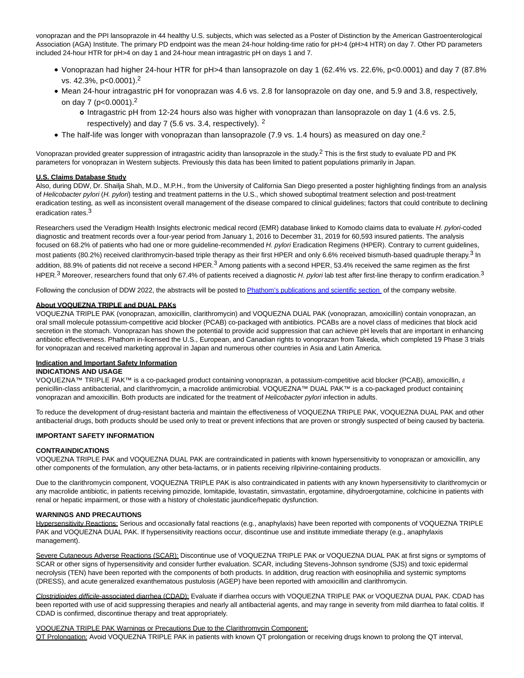vonoprazan and the PPI lansoprazole in 44 healthy U.S. subjects, which was selected as a Poster of Distinction by the American Gastroenterological Association (AGA) Institute. The primary PD endpoint was the mean 24-hour holding-time ratio for pH>4 (pH>4 HTR) on day 7. Other PD parameters included 24-hour HTR for pH>4 on day 1 and 24-hour mean intragastric pH on days 1 and 7.

- Vonoprazan had higher 24-hour HTR for pH>4 than lansoprazole on day 1 (62.4% vs. 22.6%, p<0.0001) and day 7 (87.8% vs. 42.3%, p<0.0001).<sup>2</sup>
- Mean 24-hour intragastric pH for vonoprazan was 4.6 vs. 2.8 for lansoprazole on day one, and 5.9 and 3.8, respectively, on day 7 (p<0.0001).<sup>2</sup>
	- Intragastric pH from 12-24 hours also was higher with vonoprazan than lansoprazole on day 1 (4.6 vs. 2.5, respectively) and day 7 (5.6 vs. 3.4, respectively). <sup>2</sup>
- The half-life was longer with vonoprazan than lansoprazole (7.9 vs. 1.4 hours) as measured on day one.<sup>2</sup>

Vonoprazan provided greater suppression of intragastric acidity than lansoprazole in the study.<sup>2</sup> This is the first study to evaluate PD and PK parameters for vonoprazan in Western subjects. Previously this data has been limited to patient populations primarily in Japan.

## **U.S. Claims Database Study**

Also, during DDW, Dr. Shailja Shah, M.D., M.P.H., from the University of California San Diego presented a poster highlighting findings from an analysis of Helicobacter pylori (H. pylori) testing and treatment patterns in the U.S., which showed suboptimal treatment selection and post-treatment eradication testing, as well as inconsistent overall management of the disease compared to clinical guidelines; factors that could contribute to declining eradication rates.3

Researchers used the Veradigm Health Insights electronic medical record (EMR) database linked to Komodo claims data to evaluate H. pylori-coded diagnostic and treatment records over a four-year period from January 1, 2016 to December 31, 2019 for 60,593 insured patients. The analysis focused on 68.2% of patients who had one or more guideline-recommended H. pylori Eradication Regimens (HPER). Contrary to current guidelines, most patients (80.2%) received clarithromycin-based triple therapy as their first HPER and only 6.6% received bismuth-based quadruple therapy.<sup>3</sup> In addition, 88.9% of patients did not receive a second HPER. $3$  Among patients with a second HPER, 53.4% received the same regimen as the first HPER.<sup>3</sup> Moreover, researchers found that only 67.4% of patients received a diagnostic H. pylori lab test after first-line therapy to confirm eradication.<sup>3</sup>

Following the conclusion of DDW 2022, the abstracts will be posted to [Phathom's publications and scientific section o](https://www.globenewswire.com/Tracker?data=OPvK_8a8UZ75fpqnOm9vOE9R2M7sqk2ARavn-oS45xqX6l06QXlSOhPISoE0Aa9RFfKvlBtk0dCLEjexGh12-hXyA5L6fRImnVKuF0pB7LrxI953zIeW0lNsnGwlcs2-69_5-DIsGAHSYTa_ERmUv2wUFJJifVtOqgZlaXcw-8c=)f the company website.

## **About VOQUEZNA TRIPLE and DUAL PAKs**

VOQUEZNA TRIPLE PAK (vonoprazan, amoxicillin, clarithromycin) and VOQUEZNA DUAL PAK (vonoprazan, amoxicillin) contain vonoprazan, an oral small molecule potassium-competitive acid blocker (PCAB) co-packaged with antibiotics. PCABs are a novel class of medicines that block acid secretion in the stomach. Vonoprazan has shown the potential to provide acid suppression that can achieve pH levels that are important in enhancing antibiotic effectiveness. Phathom in-licensed the U.S., European, and Canadian rights to vonoprazan from Takeda, which completed 19 Phase 3 trials for vonoprazan and received marketing approval in Japan and numerous other countries in Asia and Latin America.

#### **Indication and Important Safety Information**

## **INDICATIONS AND USAGE**

VOQUEZNA™ TRIPLE PAK™ is a co-packaged product containing vonoprazan, a potassium-competitive acid blocker (PCAB), amoxicillin, a penicillin-class antibacterial, and clarithromycin, a macrolide antimicrobial. VOQUEZNA™ DUAL PAK™ is a co-packaged product containing vonoprazan and amoxicillin. Both products are indicated for the treatment of Helicobacter pylori infection in adults.

To reduce the development of drug-resistant bacteria and maintain the effectiveness of VOQUEZNA TRIPLE PAK, VOQUEZNA DUAL PAK and other antibacterial drugs, both products should be used only to treat or prevent infections that are proven or strongly suspected of being caused by bacteria.

#### **IMPORTANT SAFETY INFORMATION**

## **CONTRAINDICATIONS**

VOQUEZNA TRIPLE PAK and VOQUEZNA DUAL PAK are contraindicated in patients with known hypersensitivity to vonoprazan or amoxicillin, any other components of the formulation, any other beta-lactams, or in patients receiving rilpivirine-containing products.

Due to the clarithromycin component, VOQUEZNA TRIPLE PAK is also contraindicated in patients with any known hypersensitivity to clarithromycin or any macrolide antibiotic, in patients receiving pimozide, lomitapide, lovastatin, simvastatin, ergotamine, dihydroergotamine, colchicine in patients with renal or hepatic impairment, or those with a history of cholestatic jaundice/hepatic dysfunction.

#### **WARNINGS AND PRECAUTIONS**

Hypersensitivity Reactions: Serious and occasionally fatal reactions (e.g., anaphylaxis) have been reported with components of VOQUEZNA TRIPLE PAK and VOQUEZNA DUAL PAK. If hypersensitivity reactions occur, discontinue use and institute immediate therapy (e.g., anaphylaxis management).

Severe Cutaneous Adverse Reactions (SCAR): Discontinue use of VOQUEZNA TRIPLE PAK or VOQUEZNA DUAL PAK at first signs or symptoms of SCAR or other signs of hypersensitivity and consider further evaluation. SCAR, including Stevens-Johnson syndrome (SJS) and toxic epidermal necrolysis (TEN) have been reported with the components of both products. In addition, drug reaction with eosinophilia and systemic symptoms (DRESS), and acute generalized exanthematous pustulosis (AGEP) have been reported with amoxicillin and clarithromycin.

Clostridioides difficile-associated diarrhea (CDAD): Evaluate if diarrhea occurs with VOQUEZNA TRIPLE PAK or VOQUEZNA DUAL PAK. CDAD has been reported with use of acid suppressing therapies and nearly all antibacterial agents, and may range in severity from mild diarrhea to fatal colitis. If CDAD is confirmed, discontinue therapy and treat appropriately.

#### VOQUEZNA TRIPLE PAK Warnings or Precautions Due to the Clarithromycin Component:

QT Prolongation: Avoid VOQUEZNA TRIPLE PAK in patients with known QT prolongation or receiving drugs known to prolong the QT interval,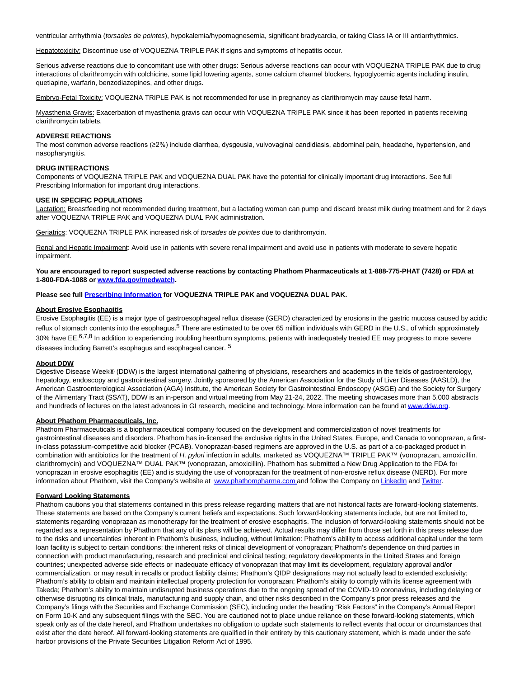ventricular arrhythmia (torsades de pointes), hypokalemia/hypomagnesemia, significant bradycardia, or taking Class IA or III antiarrhythmics.

Hepatotoxicity: Discontinue use of VOQUEZNA TRIPLE PAK if signs and symptoms of hepatitis occur.

Serious adverse reactions due to concomitant use with other drugs: Serious adverse reactions can occur with VOQUEZNA TRIPLE PAK due to drug interactions of clarithromycin with colchicine, some lipid lowering agents, some calcium channel blockers, hypoglycemic agents including insulin, quetiapine, warfarin, benzodiazepines, and other drugs.

Embryo-Fetal Toxicity: VOQUEZNA TRIPLE PAK is not recommended for use in pregnancy as clarithromycin may cause fetal harm.

Myasthenia Gravis: Exacerbation of myasthenia gravis can occur with VOQUEZNA TRIPLE PAK since it has been reported in patients receiving clarithromycin tablets.

## **ADVERSE REACTIONS**

The most common adverse reactions (≥2%) include diarrhea, dysgeusia, vulvovaginal candidiasis, abdominal pain, headache, hypertension, and nasopharyngitis.

## **DRUG INTERACTIONS**

Components of VOQUEZNA TRIPLE PAK and VOQUEZNA DUAL PAK have the potential for clinically important drug interactions. See full Prescribing Information for important drug interactions.

#### **USE IN SPECIFIC POPULATIONS**

Lactation: Breastfeeding not recommended during treatment, but a lactating woman can pump and discard breast milk during treatment and for 2 days after VOQUEZNA TRIPLE PAK and VOQUEZNA DUAL PAK administration.

Geriatrics: VOQUEZNA TRIPLE PAK increased risk of torsades de pointes due to clarithromycin.

Renal and Hepatic Impairment: Avoid use in patients with severe renal impairment and avoid use in patients with moderate to severe hepatic impairment.

**You are encouraged to report suspected adverse reactions by contacting Phathom Pharmaceuticals at 1-888-775-PHAT (7428) or FDA at 1-800-FDA-1088 o[r www.fda.gov/medwatch.](https://www.globenewswire.com/Tracker?data=iEaz3z80Tikne_g8uDo6rWXgRijeJfTz0lugtwP6_Ks5Gunj7QeQ6ImL8YInkAbpxOuZ6kP0SzTG0b7sFvLULOOWISpwwGWjZ7Rt293y9etzXpRpc00bH3i8DEjP_sUUh_81GD-Yd-nZzPY4Jn9uaLLgZ5zLlbJwS2VkHDaIKUXsX-b3B2Cl9p7oV0C6JAdg)**

## **Please see full [Prescribing Information f](https://www.globenewswire.com/Tracker?data=5l1Fl-XgaS8V65Um-DF41MK-ajVy-C3XBTHz4L4pmiW_xyRG1TsUHeePyzWLgu6fXsAH73_uktlaEGNsKwM2t-anYOo96GA1Ed4UtNR5N0-kX1kfnb7BFPmffMFD--be_blczSiZUhSC1n0J0FEWIKSkw427d6ZYF-0MwM4gNi0vnOHUW8P2qetn6cIHuEbV1W3ejWBKHYH7MStZSFduJA==)or VOQUEZNA TRIPLE PAK and VOQUEZNA DUAL PAK.**

## **About Erosive Esophagitis**

Erosive Esophagitis (EE) is a major type of gastroesophageal reflux disease (GERD) characterized by erosions in the gastric mucosa caused by acidic reflux of stomach contents into the esophagus.<sup>5</sup> There are estimated to be over 65 million individuals with GERD in the U.S., of which approximately 30% have EE.<sup>6,7,8</sup> In addition to experiencing troubling heartburn symptoms, patients with inadequately treated EE may progress to more severe diseases including Barrett's esophagus and esophageal cancer. 5

#### **About DDW**

Digestive Disease Week® (DDW) is the largest international gathering of physicians, researchers and academics in the fields of gastroenterology, hepatology, endoscopy and gastrointestinal surgery. Jointly sponsored by the American Association for the Study of Liver Diseases (AASLD), the American Gastroenterological Association (AGA) Institute, the American Society for Gastrointestinal Endoscopy (ASGE) and the Society for Surgery of the Alimentary Tract (SSAT), DDW is an in-person and virtual meeting from May 21-24, 2022. The meeting showcases more than 5,000 abstracts and hundreds of lectures on the latest advances in GI research, medicine and technology. More information can be found at [www.ddw.org.](https://www.globenewswire.com/Tracker?data=PwPZIR1-IKgUETUBxg47xi7MsiOLRdApe9AG1ApePsGaBvDhQq0C_0l1jy6kzbfp3gKTcwDWxkoGqP-t8lZh1g==)

#### **About Phathom Pharmaceuticals, Inc.**

Phathom Pharmaceuticals is a biopharmaceutical company focused on the development and commercialization of novel treatments for gastrointestinal diseases and disorders. Phathom has in-licensed the exclusive rights in the United States, Europe, and Canada to vonoprazan, a firstin-class potassium-competitive acid blocker (PCAB). Vonoprazan-based regimens are approved in the U.S. as part of a co-packaged product in combination with antibiotics for the treatment of H. pylori infection in adults, marketed as VOQUEZNA™ TRIPLE PAK™ (vonoprazan, amoxicillin, clarithromycin) and VOQUEZNA™ DUAL PAK™ (vonoprazan, amoxicillin). Phathom has submitted a New Drug Application to the FDA for vonoprazan in erosive esophagitis (EE) and is studying the use of vonoprazan for the treatment of non-erosive reflux disease (NERD). For more information about Phathom, visit the Company's website at [www.phathompharma.com](https://www.globenewswire.com/Tracker?data=EEv_5dNvNHQTjwV3DvVNoXOfkmB2xPB-Xg8rcWrzsr74oz3IFIUJbIDQ5Uebw3KGO6L21cDZgjEuhn0n3l6o3eEqZhPgGuyRgjrb7sd-SK4=) [a](https://www.globenewswire.com/Tracker?data=W7dhFApanL9Wc-YIfusds-6aU1Q_DpvDgHlk0otwBCa--3y7kK-e9GhMhhTrsAU9Whe4zs1QrtdbeWABNYXllg==)nd follow the Company o[n LinkedIn a](https://www.globenewswire.com/Tracker?data=po-zClFtkQES6YdL_xzQuzshi_Sh2A7o8MskmKWxDTEITL5Xzm1VVli4kZ6u8uG-z6J8XngSO-2p-y_AE1HEjGwe-m1Oi0Q3778wQ_RVqO4=)nd [Twitter.](https://www.globenewswire.com/Tracker?data=nMZ91XcXKCAiOUGpFRKLx4iGDJyzTOAXUVt88VGp-Nk8ZgzjbEiDN_BsWasmZKzYq9Jc6XQj2UC86QAe84qVv8BnohxTTEbRr8-JtOUUH3k=)

## **Forward Looking Statements**

Phathom cautions you that statements contained in this press release regarding matters that are not historical facts are forward-looking statements. These statements are based on the Company's current beliefs and expectations. Such forward-looking statements include, but are not limited to, statements regarding vonoprazan as monotherapy for the treatment of erosive esophagitis. The inclusion of forward-looking statements should not be regarded as a representation by Phathom that any of its plans will be achieved. Actual results may differ from those set forth in this press release due to the risks and uncertainties inherent in Phathom's business, including, without limitation: Phathom's ability to access additional capital under the term loan facility is subject to certain conditions; the inherent risks of clinical development of vonoprazan; Phathom's dependence on third parties in connection with product manufacturing, research and preclinical and clinical testing; regulatory developments in the United States and foreign countries; unexpected adverse side effects or inadequate efficacy of vonoprazan that may limit its development, regulatory approval and/or commercialization, or may result in recalls or product liability claims; Phathom's QIDP designations may not actually lead to extended exclusivity; Phathom's ability to obtain and maintain intellectual property protection for vonoprazan; Phathom's ability to comply with its license agreement with Takeda; Phathom's ability to maintain undisrupted business operations due to the ongoing spread of the COVID-19 coronavirus, including delaying or otherwise disrupting its clinical trials, manufacturing and supply chain, and other risks described in the Company's prior press releases and the Company's filings with the Securities and Exchange Commission (SEC), including under the heading "Risk Factors" in the Company's Annual Report on Form 10-K and any subsequent filings with the SEC. You are cautioned not to place undue reliance on these forward-looking statements, which speak only as of the date hereof, and Phathom undertakes no obligation to update such statements to reflect events that occur or circumstances that exist after the date hereof. All forward-looking statements are qualified in their entirety by this cautionary statement, which is made under the safe harbor provisions of the Private Securities Litigation Reform Act of 1995.